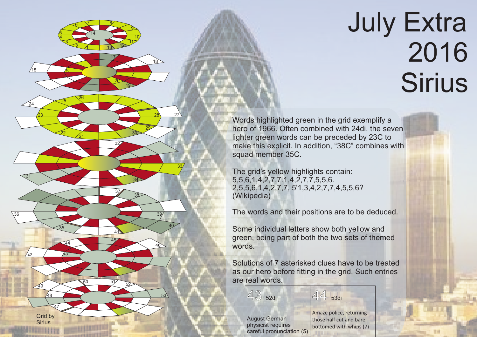## July Extra 2016 **Sirius**

Words highlighted green in the grid exemplify a hero of 1966. Often combined with 24di, the seven lighter green words can be preceded by 23C to make this explicit. In addition, "38C" combines with squad member 35C.

The grid's yellow highlights contain: 5,5,6,1,4,2,7,7.1,4,2,7,7,5,5,6. 2,5,5,6,1,4,2,7,7, 5'1,3,4,2,7,7,4,5,5,6? (Wikipedia)

15 / 16

4 5

 $\frac{24}{24}$   $\frac{25}{25}$ 

<u>23</u>

31

 $42$ 

36

21

26

 $\frac{3}{2}$ 

 $\mathfrak{g}$ 

22

35

47

<u>48</u>

Grid by **Sirius** 

49

44

17

7 8

2 13 12

14

20

32

37

<u>41</u>

45

<sup>50</sup> <sup>51</sup> <sup>52</sup>

19

<u>g</u> 10 11

18

29

30

34

38

39

 $46$ 

 $53$ 

40

28 27

33

The words and their positions are to be deduced.

Some individual letters show both yellow and green, being part of both the two sets of themed words.

Solutions of 7 asterisked clues have to be treated as our hero before fitting in the grid. Such entries are real words.

44 53di

|                        | Ama  |
|------------------------|------|
| st German              | thos |
| cist requires          | bott |
| ul pronunciation $(5)$ |      |

43 52di

Augu physi caref ize police, returning e half cut and bare omed with whips (7)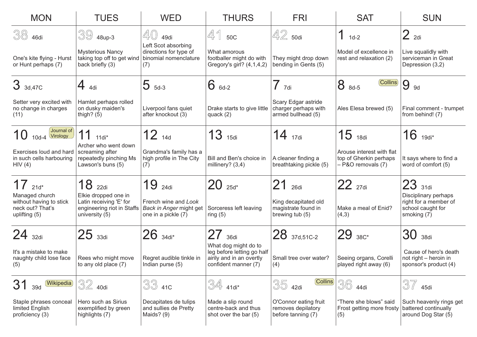| <b>MON</b>                                                                     | <b>TUES</b>                                                                                     | <b>WED</b>                                                                    | <b>THURS</b>                                                                                           | <b>FRI</b><br><b>SAT</b>                                          |                                                                           | <b>SUN</b>                                                                        |  |
|--------------------------------------------------------------------------------|-------------------------------------------------------------------------------------------------|-------------------------------------------------------------------------------|--------------------------------------------------------------------------------------------------------|-------------------------------------------------------------------|---------------------------------------------------------------------------|-----------------------------------------------------------------------------------|--|
| 38<br>46di                                                                     | $3948$ up-3                                                                                     | 40<br>49di                                                                    | 41<br>50C                                                                                              | $42$ 50di                                                         | $1d-2$                                                                    | 2 <sub>2di</sub>                                                                  |  |
| One's kite flying - Hurst<br>or Hunt perhaps (7)                               | <b>Mysterious Nancy</b><br>taking top off to get wind<br>back briefly (3)                       | Left Scot absorbing<br>directions for type of<br>binomial nomenclature<br>(7) | What amorous<br>footballer might do with<br>Gregory's girl? (4,1,4,2)                                  | They might drop down<br>bending in Gents (5)                      | Model of excellence in<br>rest and relaxation (2)                         | Live squalidly with<br>serviceman in Great<br>Depression (3,2)                    |  |
| 3 3d, 47C                                                                      | $4$ 4di                                                                                         | $5_{5d-3}$                                                                    | $6_{6d-2}$                                                                                             | $\overline{\phantom{a}}$<br>7di                                   | $\left(\text{Collins}\right)$<br>8<br>8d-5                                | 9<br><b>9d</b>                                                                    |  |
| Setter very excited with<br>no change in charges<br>(11)                       | Hamlet perhaps rolled<br>on dusky maiden's<br>thigh? $(5)$                                      | Liverpool fans quiet<br>after knockout (3)                                    | Drake starts to give little<br>quack $(2)$                                                             | Scary Edgar astride<br>charger perhaps with<br>armed bullhead (5) | Ales Elesa brewed (5)                                                     | Final comment - trumpet<br>from behind! (7)                                       |  |
| $($ Journal of $)$<br>10<br>$10d - 4$<br>Virology                              | 11<br>$11di*$                                                                                   | $12_{14d}$                                                                    | 13<br>15di                                                                                             | 14<br>17di                                                        | $15$ 18di                                                                 | $16$ 19di <sup>*</sup>                                                            |  |
| Exercises loud and hard<br>in such cells harbouring<br>HIV(4)                  | Archer who went down<br>screaming after<br>repeatedly pinching Ms<br>Lawson's buns (5)          | Grandma's family has a<br>high profile in The City<br>(7)                     | Bill and Ben's choice in<br>millinery? $(3,4)$                                                         | A cleaner finding a<br>breathtaking pickle (5)                    | Arouse interest with flat<br>top of Gherkin perhaps<br>- P&O removals (7) | It says where to find a<br>word of comfort (5)                                    |  |
| $17$ 21d*                                                                      | 18<br>22di                                                                                      | 19<br>24di                                                                    | $20$ $_{25d}$ *                                                                                        | 21<br>26di                                                        | 22 27di                                                                   | $23$ 31di                                                                         |  |
| Managed church<br>without having to stick<br>neck out? That's<br>uplifting (5) | Elkie dropped one in<br>Latin receiving 'E' for<br>engineering riot in Staffs<br>university (5) | French wine and Look<br>Back in Anger might get<br>one in a pickle (7)        | Sorceress left leaving<br>ring $(5)$                                                                   | King decapitated old<br>magistrate found in<br>brewing tub (5)    | Make a meal of Enid?<br>(4,3)                                             | Disciplinary perhaps<br>right for a member of<br>school caught for<br>smoking (7) |  |
| $24$ 32di                                                                      | $25$ 33di                                                                                       | $26$ $_{34di^*}$                                                              | 27<br>36di                                                                                             | 28 37d,51C-2                                                      | 29 38C*                                                                   | 30<br>38di                                                                        |  |
| It's a mistake to make<br>naughty child lose face<br>(5)                       | Rees who might move<br>to any old place (7)                                                     | Regret audible tinkle in<br>Indian purse (5)                                  | What dog might do to<br>leg before letting go half<br>airily and in an overtly<br>confident manner (7) | Small tree over water?<br>(4)                                     | Seeing organs, Corelli<br>played right away (6)                           | Cause of hero's death<br>not right - heroin in<br>sponsor's product (4)           |  |
| (Wikipedia)<br>31<br>39d                                                       | $32$ 40di                                                                                       | 33 410                                                                        | $\frac{3}{4}$ 41di <sup>*</sup>                                                                        | (Collins)<br>35<br>42di                                           | $36\,$<br>44di                                                            | 37<br>45di                                                                        |  |
| Staple phrases conceal<br>limited English<br>proficiency (3)                   | Hero such as Sirius<br>exemplified by green<br>highlights (7)                                   | Decapitates de tulips<br>and sullies de Pretty<br>Maids? (9)                  | Made a slip round<br>centre-back and thus<br>shot over the bar (5)                                     | O'Connor eating fruit<br>removes depilatory<br>before tanning (7) | "There she blows" said<br>Frost getting more frosty<br>(5)                | Such heavenly rings get<br>battered continually<br>around Dog Star (5)            |  |